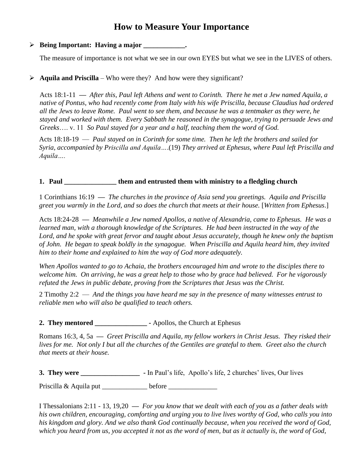# **How to Measure Your Importance**

#### **Being Important: Having a major \_\_\_\_\_\_\_\_\_\_\_\_.**

The measure of importance is not what we see in our own EYES but what we see in the LIVES of others.

## $\triangleright$  **Aquila and Priscilla** – Who were they? And how were they significant?

Acts 18:1-11 **—** *After this, Paul left Athens and went to Corinth. There he met a Jew named Aquila, a native of Pontus, who had recently come from Italy with his wife Priscilla, because Claudius had ordered all the Jews to leave Rome. Paul went to see them, and because he was a tentmaker as they were, he stayed and worked with them. Every Sabbath he reasoned in the synagogue, trying to persuade Jews and Greeks*…. v. 11 *So Paul stayed for a year and a half, teaching them the word of God.*

Acts 18:18-19 — *Paul stayed on in Corinth for some time. Then he left the brothers and sailed for Syria, accompanied by Priscilla and Aquila…*.(19) *They arrived at Ephesus, where Paul left Priscilla and Aquila….*

### **1. Paul \_\_\_\_\_\_\_\_\_\_\_\_\_\_\_ them and entrusted them with ministry to a fledgling church**

1 Corinthians 16:19 **—** *The churches in the province of Asia send you greetings. Aquila and Priscilla greet you warmly in the Lord, and so does the church that meets at their house.* [*Written from Ephesus*.]

Acts 18:24-28 **—** *Meanwhile a Jew named Apollos, a native of Alexandria, came to Ephesus. He was a learned man, with a thorough knowledge of the Scriptures. He had been instructed in the way of the Lord, and he spoke with great fervor and taught about Jesus accurately, though he knew only the baptism of John. He began to speak boldly in the synagogue. When Priscilla and Aquila heard him, they invited him to their home and explained to him the way of God more adequately.*

*When Apollos wanted to go to Achaia, the brothers encouraged him and wrote to the disciples there to welcome him. On arriving, he was a great help to those who by grace had believed. For he vigorously refuted the Jews in public debate, proving from the Scriptures that Jesus was the Christ.*

2 Timothy 2:2 — *And the things you have heard me say in the presence of many witnesses entrust to reliable men who will also be qualified to teach others.*

**2. They mentored \_\_\_\_\_\_\_\_\_\_\_\_\_\_\_ -** Apollos, the Church at Ephesus

Romans 16:3, 4, 5a **—** *Greet Priscilla and Aquila, my fellow workers in Christ Jesus. They risked their lives for me. Not only I but all the churches of the Gentiles are grateful to them. Greet also the church that meets at their house.*

**3. They were \_\_\_\_\_\_\_\_\_\_\_\_\_\_\_\_\_ -** In Paul's life, Apollo's life, 2 churches' lives, Our lives

Priscilla & Aquila put \_\_\_\_\_\_\_\_\_\_\_\_\_\_\_ before \_\_\_\_\_\_\_\_\_\_\_\_\_\_\_\_\_\_\_\_\_\_\_\_\_\_\_\_\_\_\_\_\_\_\_

I Thessalonians 2:11 - 13, 19,20 **—** *For you know that we dealt with each of you as a father deals with his own children, encouraging, comforting and urging you to live lives worthy of God, who calls you into his kingdom and glory. And we also thank God continually because, when you received the word of God, which you heard from us, you accepted it not as the word of men, but as it actually is, the word of God,*